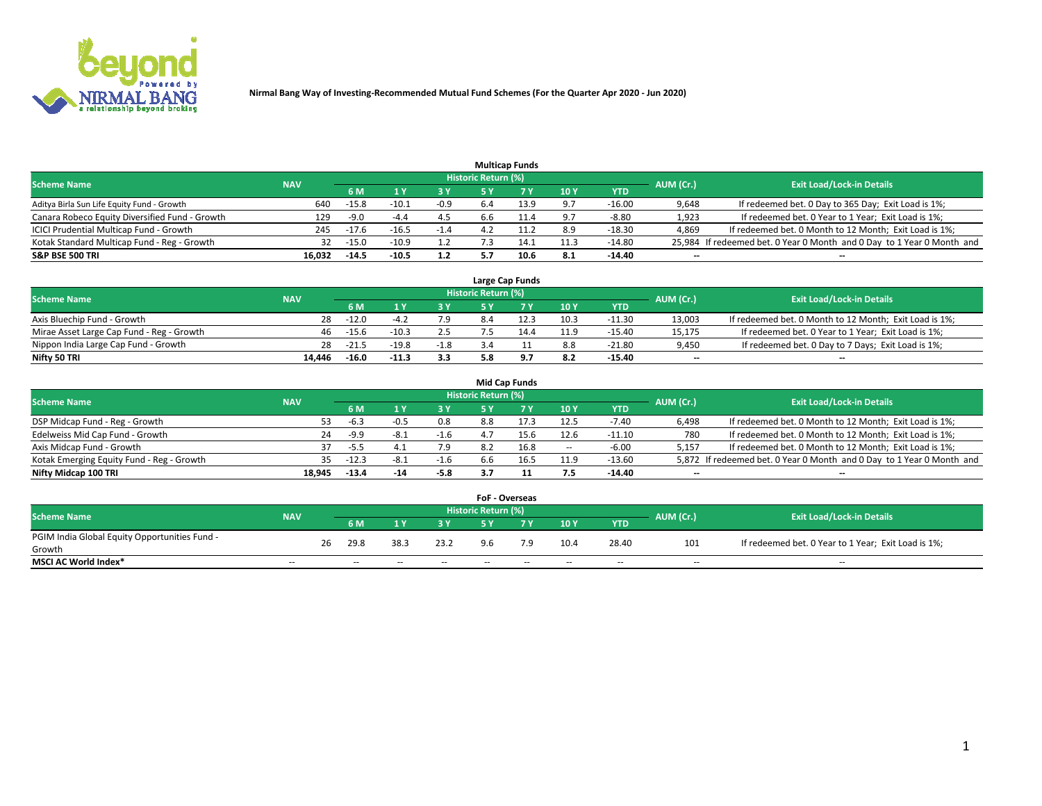

|                                                |            |         |         |        |                            | <b>Multicap Funds</b> |      |            |                          |                                                                        |
|------------------------------------------------|------------|---------|---------|--------|----------------------------|-----------------------|------|------------|--------------------------|------------------------------------------------------------------------|
| <b>Scheme Name</b>                             | <b>NAV</b> |         |         |        | <b>Historic Return (%)</b> |                       |      |            | AUM (Cr.)                | <b>Exit Load/Lock-in Details</b>                                       |
|                                                |            | 6 M     |         | 3 Y    |                            |                       | 10Y  | <b>YTD</b> |                          |                                                                        |
| Aditya Birla Sun Life Equity Fund - Growth     | 640        | $-15.8$ | -10.1   | $-0.9$ | 6.4                        | 13.9                  | 9.7  | $-16.00$   | 9,648                    | If redeemed bet. 0 Day to 365 Day; Exit Load is 1%;                    |
| Canara Robeco Equity Diversified Fund - Growth | 129        | -9.0    | $-4.4$  | 4.5    | 6.6                        |                       | 9.7  | $-8.80$    | 1,923                    | If redeemed bet. 0 Year to 1 Year; Exit Load is 1%;                    |
| ICICI Prudential Multicap Fund - Growth        | 245        | $-17.6$ | -16.5   | $-1.4$ |                            |                       | 8.9  | $-18.30$   | 4,869                    | If redeemed bet. 0 Month to 12 Month; Exit Load is 1%;                 |
| Kotak Standard Multicap Fund - Reg - Growth    | 32         | $-15.0$ | $-10.9$ | 1.2    |                            | 14.                   | 11.3 | $-14.80$   |                          | 25,984 If redeemed bet. 0 Year 0 Month and 0 Day to 1 Year 0 Month and |
| <b>S&amp;P BSE 500 TRI</b>                     | 16.032     | $-14.5$ | $-10.5$ | 1.2    |                            | 10.6                  | 8.1  | -14.40     | $\overline{\phantom{a}}$ | --                                                                     |

|                                           |            |         |         |        |                     | Large Cap Funds |      |          |                          |                                                        |
|-------------------------------------------|------------|---------|---------|--------|---------------------|-----------------|------|----------|--------------------------|--------------------------------------------------------|
| <b>Scheme Name</b>                        | <b>NAV</b> |         |         |        | Historic Return (%) |                 |      |          | AUM (Cr.)                | <b>Exit Load/Lock-in Details</b>                       |
|                                           |            | 6 M     |         | 3 Y    |                     |                 | 10Y  | YTD      |                          |                                                        |
| Axis Bluechip Fund - Growth               | 28         | $-12.0$ | -4.1    | 7.9    |                     | 12.3            | 10.3 | $-11.30$ | 13,003                   | If redeemed bet. 0 Month to 12 Month; Exit Load is 1%; |
| Mirae Asset Large Cap Fund - Reg - Growth | 46         | $-15.6$ | $-10.3$ | 2.5    |                     |                 | 11.9 | $-15.40$ | 15,175                   | If redeemed bet. 0 Year to 1 Year; Exit Load is 1%;    |
| Nippon India Large Cap Fund - Growth      | 28         | $-21.5$ | -19.8   | $-1.8$ |                     |                 | 8.8  | $-21.80$ | 9,450                    | If redeemed bet. 0 Day to 7 Days; Exit Load is 1%;     |
| Nifty 50 TRI                              | 14.446     | $-16.0$ | $-11.3$ | 3.3    |                     |                 | 8.2  | $-15.40$ | $\overline{\phantom{a}}$ | $\overline{\phantom{a}}$                               |

|                                           |            |         |      |        |                     | <b>Mid Cap Funds</b> |        |          |           |                                                                       |
|-------------------------------------------|------------|---------|------|--------|---------------------|----------------------|--------|----------|-----------|-----------------------------------------------------------------------|
| <b>Scheme Name</b>                        | <b>NAV</b> |         |      |        | Historic Return (%) |                      |        |          | AUM (Cr.) | <b>Exit Load/Lock-in Details</b>                                      |
|                                           |            | 6 M     |      | 3 Y    |                     |                      | 10Y    | YTD      |           |                                                                       |
| DSP Midcap Fund - Reg - Growth            | 53.        | -6.3    | -0.5 | 0.8    | 8.8                 |                      | 12.5   | $-7.40$  | 6,498     | If redeemed bet. 0 Month to 12 Month; Exit Load is 1%;                |
| Edelweiss Mid Cap Fund - Growth           | 24         | $-9.9$  | -8.⊥ | $-1.6$ | $\Delta$ -          |                      | 12.6   | $-11.10$ | 780       | If redeemed bet. 0 Month to 12 Month; Exit Load is 1%;                |
| Axis Midcap Fund - Growth                 |            | $-5.5$  | 4.1  | 7.9    |                     | 16.8                 | $\sim$ | $-6.00$  | 5.157     | If redeemed bet. 0 Month to 12 Month; Exit Load is 1%;                |
| Kotak Emerging Equity Fund - Reg - Growth | 35.        | $-12.3$ | -8.1 | $-1.6$ | 6.6                 |                      | 11.9   | $-13.60$ |           | 5,872 If redeemed bet. 0 Year 0 Month and 0 Day to 1 Year 0 Month and |
| Nifty Midcap 100 TRI                      | 18.945     | $-13.4$ | -14  | $-5.8$ | 3.7                 |                      | 7.5    | $-14.40$ | --        | $\overline{\phantom{a}}$                                              |

|                                               |            |    |                          |        |        | <b>FoF - Overseas</b>    |     |       |            |           |                                                     |
|-----------------------------------------------|------------|----|--------------------------|--------|--------|--------------------------|-----|-------|------------|-----------|-----------------------------------------------------|
| <b>Scheme Name</b>                            | <b>NAV</b> |    |                          |        |        | Historic Return (%)      |     |       |            | AUM (Cr.) | <b>Exit Load/Lock-in Details</b>                    |
|                                               |            |    | 6 M                      |        |        |                          |     | 10Y   | <b>YTD</b> |           |                                                     |
| PGIM India Global Equity Opportunities Fund - |            | 26 | 29.8                     | 38.3   | 23.2   | 9.6                      | 7.9 | 10.4  | 28.40      | 101       | If redeemed bet. 0 Year to 1 Year; Exit Load is 1%; |
| Growth                                        |            |    |                          |        |        |                          |     |       |            |           |                                                     |
| <b>MSCI AC World Index*</b>                   | $- -$      |    | $\overline{\phantom{a}}$ | $\sim$ | $\sim$ | $\overline{\phantom{a}}$ | --  | $- -$ | $- -$      | $- -$     | $\overline{\phantom{a}}$                            |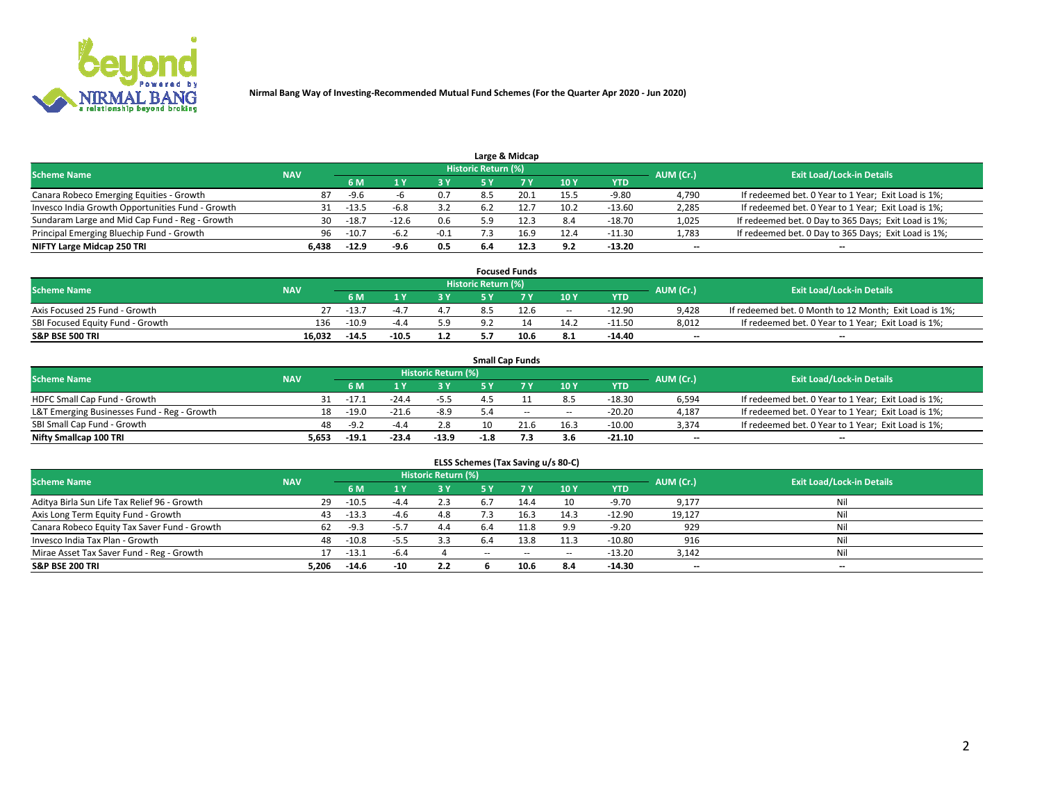

| Large & Midcap                                   |            |                                  |         |        |     |      |      |            |       |                                                      |  |  |  |  |
|--------------------------------------------------|------------|----------------------------------|---------|--------|-----|------|------|------------|-------|------------------------------------------------------|--|--|--|--|
| <b>Scheme Name</b>                               | AUM (Cr.)  | <b>Exit Load/Lock-in Details</b> |         |        |     |      |      |            |       |                                                      |  |  |  |  |
|                                                  | <b>NAV</b> | 6 M                              |         | 3 Y    |     |      | 10Y  | <b>YTD</b> |       |                                                      |  |  |  |  |
| Canara Robeco Emerging Equities - Growth         | 87         | -9.6                             |         | 0.7    | 8.5 | 20.1 | 15.5 | $-9.80$    | 4,790 | If redeemed bet. 0 Year to 1 Year; Exit Load is 1%;  |  |  |  |  |
| Invesco India Growth Opportunities Fund - Growth |            | $-13.5$                          | -6.8    | 3.2    |     |      | 10.2 | $-13.60$   | 2,285 | If redeemed bet. 0 Year to 1 Year; Exit Load is 1%;  |  |  |  |  |
| Sundaram Large and Mid Cap Fund - Reg - Growth   | 30         | $-18.7$                          | $-12.6$ | 0.6    |     |      | 8.4  | $-18.70$   | 1,025 | If redeemed bet. 0 Day to 365 Days; Exit Load is 1%; |  |  |  |  |
| Principal Emerging Bluechip Fund - Growth        | 96         | $-10.7$                          | $-6.2$  | $-0.1$ |     | 16.9 | 12.4 | $-11.30$   | 1,783 | If redeemed bet. 0 Day to 365 Days; Exit Load is 1%; |  |  |  |  |
| NIFTY Large Midcap 250 TRI                       | 6.438      | $-12.9$                          | -9.6    | 0.5    | 6.4 | 12.3 | 9.2  | $-13.20$   | $-$   | $\overline{\phantom{a}}$                             |  |  |  |  |

|                                  |            |         |         |     |                     | <b>Focused Funds</b> |       |          |           |                                                        |
|----------------------------------|------------|---------|---------|-----|---------------------|----------------------|-------|----------|-----------|--------------------------------------------------------|
| <b>Scheme Name</b>               | <b>NAV</b> |         |         |     | Historic Return (%) |                      |       |          | AUM (Cr.) | <b>Exit Load/Lock-in Details</b>                       |
|                                  |            | 6 M     |         | 2 V |                     | ע ל                  | 10Y   | YTD      |           |                                                        |
| Axis Focused 25 Fund - Growth    | 27.        | $-13.7$ | $-4$    |     |                     | 12.6                 | $- -$ | $-12.90$ | 9.428     | If redeemed bet. 0 Month to 12 Month; Exit Load is 1%; |
| SBI Focused Equity Fund - Growth | 136        | $-10.9$ | -44     | 5.9 |                     |                      | 14.2  | $-11.50$ | 8,012     | If redeemed bet. 0 Year to 1 Year; Exit Load is 1%;    |
| <b>S&amp;P BSE 500 TRI</b>       | 16.032     | $-14.5$ | $-10.5$ | 1.2 |                     | 10.6                 | -8.1  | -14.40   | $- -$     | $\overline{\phantom{a}}$                               |

|                                             |            |         |           |                                  |        | <b>Small Cap Funds</b> |                          |          |                          |                                                     |
|---------------------------------------------|------------|---------|-----------|----------------------------------|--------|------------------------|--------------------------|----------|--------------------------|-----------------------------------------------------|
| <b>Scheme Name</b>                          | <b>NAV</b> |         | AUM (Cr.) | <b>Exit Load/Lock-in Details</b> |        |                        |                          |          |                          |                                                     |
|                                             |            | 6 M     |           | 3 Y                              |        |                        | 10Y                      | YTD      |                          |                                                     |
| HDFC Small Cap Fund - Growth                |            | $-17.1$ | $-24.4$   | $-5.5$                           |        |                        | 8.5                      | $-18.30$ | 6,594                    | If redeemed bet. 0 Year to 1 Year; Exit Load is 1%; |
| L&T Emerging Businesses Fund - Reg - Growth | 18         | $-19.0$ | $-21.6$   | $-8.9$                           |        | $\sim$                 | $\overline{\phantom{a}}$ | $-20.20$ | 4,187                    | If redeemed bet. 0 Year to 1 Year; Exit Load is 1%; |
| SBI Small Cap Fund - Growth                 | 48         | $-9.2$  | -44       | 2.8                              |        | 21.6                   | 16.3                     | $-10.00$ | 3,374                    | If redeemed bet. 0 Year to 1 Year; Exit Load is 1%; |
| Nifty Smallcap 100 TRI                      | 5.653      | $-19.1$ | $-23.4$   | $-13.9$                          | $-1.8$ | 7.3                    | 3.6                      | -21.10   | $\overline{\phantom{a}}$ | $\overline{\phantom{a}}$                            |

| ELSS Schemes (Tax Saving u/s 80-C)           |            |         |        |                            |           |      |       |            |           |                                  |  |  |  |
|----------------------------------------------|------------|---------|--------|----------------------------|-----------|------|-------|------------|-----------|----------------------------------|--|--|--|
| <b>Scheme Name</b>                           | <b>NAV</b> |         |        | <b>Historic Return (%)</b> |           |      |       |            | AUM (Cr.) | <b>Exit Load/Lock-in Details</b> |  |  |  |
|                                              |            | 6 M     | ΙV     | 3 Y                        | <b>5Y</b> |      | 10Y   | <b>YTD</b> |           |                                  |  |  |  |
| Aditya Birla Sun Life Tax Relief 96 - Growth | 29         | $-10.5$ | $-4.4$ | 2.3                        |           | 14.4 | 10    | $-9.70$    | 9,177     | Ni                               |  |  |  |
| Axis Long Term Equity Fund - Growth          | 43         | $-13.3$ | $-4.6$ | 4.8                        |           | 16.3 | 14.3  | $-12.90$   | 19,127    | Ni                               |  |  |  |
| Canara Robeco Equity Tax Saver Fund - Growth | 62         | $-9.3$  | $-5.7$ | 4.4                        |           | 11.8 | 9.9   | $-9.20$    | 929       | Ni                               |  |  |  |
| Invesco India Tax Plan - Growth              | 48         | $-10.8$ |        | 3.3                        |           | 13.8 | 11.3  | $-10.80$   | 916       | Ni                               |  |  |  |
| Mirae Asset Tax Saver Fund - Reg - Growth    | 17         | $-13.1$ | $-6.4$ |                            | $\sim$    | --   | $- -$ | $-13.20$   | 3,142     | Ni                               |  |  |  |
| <b>S&amp;P BSE 200 TRI</b>                   | 5.206      | $-14.6$ | $-10$  | 2.2                        |           | 10.6 | 8.4   | $-14.30$   | $-$       | $\overline{\phantom{a}}$         |  |  |  |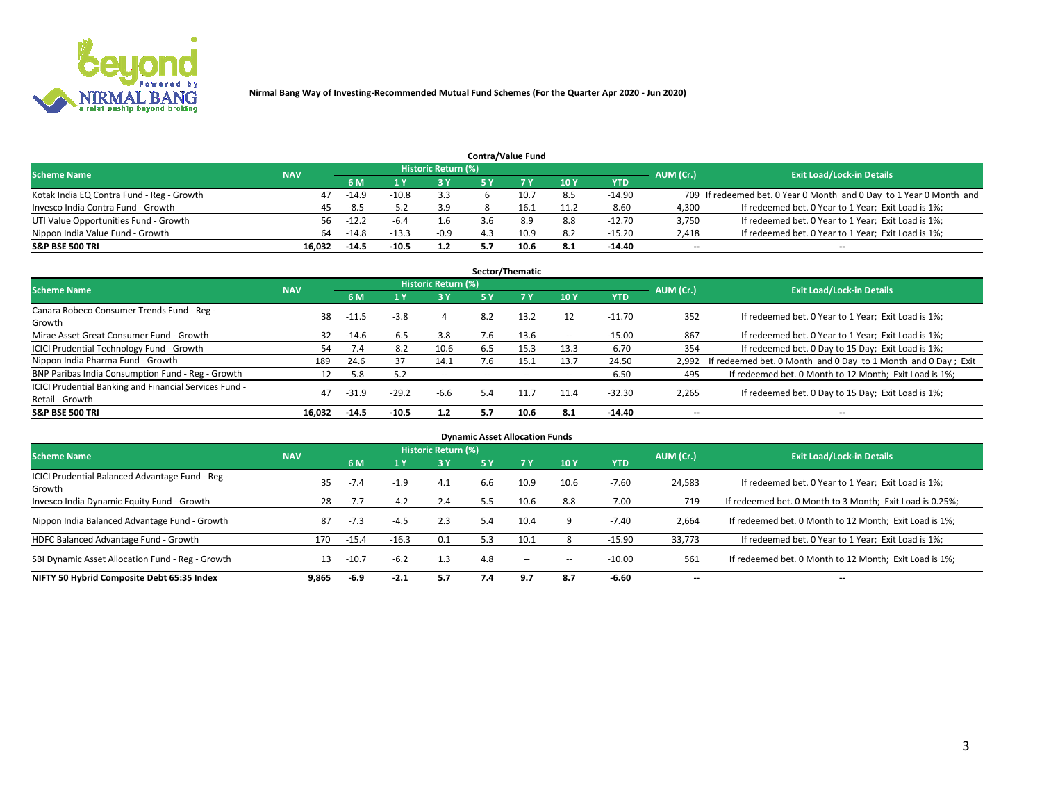

|                                           | <b>Contra/Value Fund</b> |           |                                  |        |     |      |      |            |       |                                                                     |  |  |  |  |
|-------------------------------------------|--------------------------|-----------|----------------------------------|--------|-----|------|------|------------|-------|---------------------------------------------------------------------|--|--|--|--|
| <b>Scheme Name</b>                        | <b>NAV</b>               | AUM (Cr.) | <b>Exit Load/Lock-in Details</b> |        |     |      |      |            |       |                                                                     |  |  |  |  |
|                                           |                          | 6 M       |                                  | 3 Y    |     | 7 V  | 10Y  | <b>YTD</b> |       |                                                                     |  |  |  |  |
| Kotak India EQ Contra Fund - Reg - Growth | 47                       | $-14.9$   | $-10.8$                          | 3.3    |     | 10.  | 8.5  | -14.90     |       | 709 If redeemed bet. 0 Year 0 Month and 0 Day to 1 Year 0 Month and |  |  |  |  |
| Invesco India Contra Fund - Growth        | 45                       | -8.5      | -5.                              | 3.9    |     |      | 11.2 | $-8.60$    | 4,300 | If redeemed bet. 0 Year to 1 Year; Exit Load is 1%;                 |  |  |  |  |
| UTI Value Opportunities Fund - Growth     | 56                       | $-12.2$   | -6.4                             | 1.6    | 3.6 | 8.9  | 8.8  | $-12.70$   | 3,750 | If redeemed bet. 0 Year to 1 Year; Exit Load is 1%;                 |  |  |  |  |
| Nippon India Value Fund - Growth          | 64                       | $-14.8$   | $-13.3$                          | $-0.9$ |     | 10.9 | 8.2  | $-15.20$   | 2,418 | If redeemed bet. 0 Year to 1 Year; Exit Load is 1%;                 |  |  |  |  |
| <b>S&amp;P BSE 500 TRI</b>                | 16.032                   | $-14.5$   | $-10.5$                          | 1.2    |     | 10.6 | 8.1  | $-14.40$   | $- -$ | $\overline{\phantom{a}}$                                            |  |  |  |  |

|                                                        |            |         |         |                     |      | Sector/Thematic |                          |            |                          |                                                               |
|--------------------------------------------------------|------------|---------|---------|---------------------|------|-----------------|--------------------------|------------|--------------------------|---------------------------------------------------------------|
| <b>Scheme Name</b>                                     | <b>NAV</b> |         |         | Historic Return (%) |      |                 |                          |            | AUM (Cr.)                | <b>Exit Load/Lock-in Details</b>                              |
|                                                        |            | 6 M     |         | 3Y                  | /5 Y | <b>7Y</b>       | 10Y                      | <b>YTD</b> |                          |                                                               |
| Canara Robeco Consumer Trends Fund - Reg -             | 38         |         | $-3.8$  |                     | 8.2  |                 | 12                       |            |                          |                                                               |
| Growth                                                 |            | $-11.5$ |         | 4                   |      | 13.2            |                          | $-11.70$   | 352                      | If redeemed bet. 0 Year to 1 Year; Exit Load is 1%;           |
| Mirae Asset Great Consumer Fund - Growth               | 32         | $-14.6$ | -6.5    | 3.8                 | 7.6  | 13.6            | $\overline{\phantom{a}}$ | $-15.00$   | 867                      | If redeemed bet. 0 Year to 1 Year; Exit Load is 1%;           |
| ICICI Prudential Technology Fund - Growth              | 54         | $-7.4$  | $-8.2$  | 10.6                | 6.5  | 15.3            | 13.3                     | $-6.70$    | 354                      | If redeemed bet. 0 Day to 15 Day; Exit Load is 1%;            |
| Nippon India Pharma Fund - Growth                      | 189        | 24.6    |         | 14.1                | 7.6  | 15.1            | 13.7                     | 24.50      | 2.992                    | If redeemed bet. 0 Month and 0 Day to 1 Month and 0 Day; Exit |
| BNP Paribas India Consumption Fund - Reg - Growth      | 12         | $-5.8$  | 5.2     | $\sim$              | --   | $\sim$          | $\hspace{0.05cm}$        | $-6.50$    | 495                      | If redeemed bet. 0 Month to 12 Month; Exit Load is 1%;        |
| ICICI Prudential Banking and Financial Services Fund - | 47         | $-31.9$ | $-29.2$ | $-6.6$              | 5.4  |                 |                          | $-32.30$   |                          |                                                               |
| Retail - Growth                                        |            |         |         |                     |      | 11.7            | 11.4                     |            | 2,265                    | If redeemed bet. 0 Day to 15 Day; Exit Load is 1%;            |
| <b>S&amp;P BSE 500 TRI</b>                             | 16.032     | $-14.5$ | $-10.5$ | 1.2                 | 5.7  | 10.6            | 8.1                      | -14.40     | $\overline{\phantom{a}}$ | $\overline{\phantom{a}}$                                      |

| <b>Dynamic Asset Allocation Funds</b>                      |            |         |         |                     |      |        |        |            |                          |                                                          |  |  |  |
|------------------------------------------------------------|------------|---------|---------|---------------------|------|--------|--------|------------|--------------------------|----------------------------------------------------------|--|--|--|
| <b>Scheme Name</b>                                         | <b>NAV</b> |         |         | Historic Return (%) |      |        |        |            | AUM (Cr.)                | <b>Exit Load/Lock-in Details</b>                         |  |  |  |
|                                                            |            | 6 M     |         | 3Y                  | /5 Y | 7 Y    | 10Y    | <b>YTD</b> |                          |                                                          |  |  |  |
| ICICI Prudential Balanced Advantage Fund - Reg -<br>Growth | 35.        | $-7.4$  | $-1.9$  | 4.1                 | 6.6  | 10.9   | 10.6   | $-7.60$    | 24,583                   | If redeemed bet. 0 Year to 1 Year; Exit Load is 1%;      |  |  |  |
| Invesco India Dynamic Equity Fund - Growth                 | 28         | $-7.7$  | $-4.2$  | 2.4                 | 5.5  | 10.6   | 8.8    | $-7.00$    | 719                      | If redeemed bet. 0 Month to 3 Month; Exit Load is 0.25%; |  |  |  |
| Nippon India Balanced Advantage Fund - Growth              | 87         | $-7.3$  | $-4.5$  | 2.3                 | 5.4  | 10.4   | 9      | $-7.40$    | 2,664                    | If redeemed bet. 0 Month to 12 Month; Exit Load is 1%;   |  |  |  |
| HDFC Balanced Advantage Fund - Growth                      | 170        | $-15.4$ | $-16.3$ | 0.1                 | 5.3  | 10.1   |        | $-15.90$   | 33,773                   | If redeemed bet. 0 Year to 1 Year; Exit Load is 1%;      |  |  |  |
| SBI Dynamic Asset Allocation Fund - Reg - Growth           | 13         | $-10.7$ | $-6.2$  | 1.3                 | 4.8  | $\sim$ | $\sim$ | $-10.00$   | 561                      | If redeemed bet. 0 Month to 12 Month; Exit Load is 1%;   |  |  |  |
| NIFTY 50 Hybrid Composite Debt 65:35 Index                 | 9.865      | -6.9    | $-2.1$  | 5.7                 | 7.4  | 9.7    | 8.7    | $-6.60$    | $\overline{\phantom{a}}$ | $\overline{\phantom{a}}$                                 |  |  |  |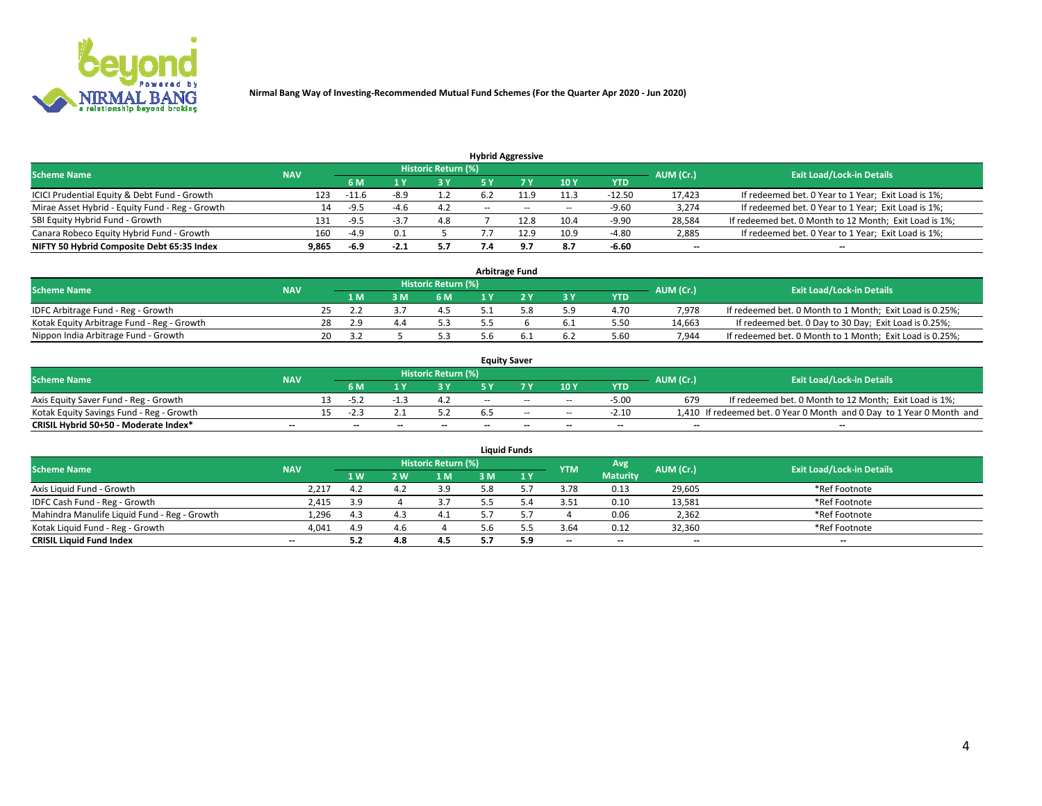

| <b>Hybrid Aggressive</b>                        |            |                                  |        |     |        |        |        |            |        |                                                        |  |  |  |  |
|-------------------------------------------------|------------|----------------------------------|--------|-----|--------|--------|--------|------------|--------|--------------------------------------------------------|--|--|--|--|
| <b>Scheme Name</b>                              | AUM (Cr.)  | <b>Exit Load/Lock-in Details</b> |        |     |        |        |        |            |        |                                                        |  |  |  |  |
|                                                 | <b>NAV</b> | 6 M                              |        | 3 Y |        |        | 10Y    | <b>YTD</b> |        |                                                        |  |  |  |  |
| ICICI Prudential Equity & Debt Fund - Growth    | 123        | $-11.6$                          | -8.9   | 1.2 |        |        | 11.3   | $-12.50$   | 17,423 | If redeemed bet. 0 Year to 1 Year; Exit Load is 1%;    |  |  |  |  |
| Mirae Asset Hybrid - Equity Fund - Reg - Growth | 14         | -9.5                             | -4.b   | 4.2 | $\sim$ | $\sim$ | $\sim$ | $-9.60$    | 3,274  | If redeemed bet. 0 Year to 1 Year; Exit Load is 1%;    |  |  |  |  |
| SBI Equity Hybrid Fund - Growth                 | 131        | $-9.5$                           | - 3    | 4.8 |        | 12.8   | 10.4   | $-9.90$    | 28,584 | If redeemed bet. 0 Month to 12 Month; Exit Load is 1%; |  |  |  |  |
| Canara Robeco Equity Hybrid Fund - Growth       | 160        | $-4.9$                           | 0.1    |     |        | 12.9   | 10.9   | $-4.80$    | 2,885  | If redeemed bet. 0 Year to 1 Year; Exit Load is 1%;    |  |  |  |  |
| NIFTY 50 Hybrid Composite Debt 65:35 Index      | 9,865      | -6.9                             | $-2.1$ | 5.7 |        |        | 8.7    | $-6.60$    | $- -$  | $\overline{\phantom{a}}$                               |  |  |  |  |

| <b>Arbitrage Fund</b>                      |            |     |     |      |                            |     |  |       |            |           |                                                          |  |  |
|--------------------------------------------|------------|-----|-----|------|----------------------------|-----|--|-------|------------|-----------|----------------------------------------------------------|--|--|
| <b>Scheme Name</b>                         | <b>NAV</b> |     |     |      | <b>Historic Return (%)</b> |     |  |       |            | AUM (Cr.) | <b>Exit Load/Lock-in Details</b>                         |  |  |
|                                            |            |     | 1 M | з м' | 6 M                        |     |  | $-3V$ | <b>YTD</b> |           |                                                          |  |  |
| IDFC Arbitrage Fund - Reg - Growth         |            |     |     |      |                            |     |  | 5.9   | 4.70       | 7.978     | If redeemed bet. 0 Month to 1 Month; Exit Load is 0.25%; |  |  |
| Kotak Equity Arbitrage Fund - Reg - Growth |            | 28  | 2.9 |      | 5.3                        |     |  | 6.1   | 5.50       | 14.663    | If redeemed bet. 0 Day to 30 Day; Exit Load is 0.25%;    |  |  |
| Nippon India Arbitrage Fund - Growth       |            | 20. | -27 |      | 5.3                        | 5 h |  | 6.2   | 5.60       | 7.944     | If redeemed bet. 0 Month to 1 Month; Exit Load is 0.25%; |  |  |

| <b>Equity Saver</b>                      |            |  |                          |                          |                     |       |                          |                          |            |           |                                                                       |  |
|------------------------------------------|------------|--|--------------------------|--------------------------|---------------------|-------|--------------------------|--------------------------|------------|-----------|-----------------------------------------------------------------------|--|
| <b>Scheme Name</b>                       | <b>NAV</b> |  |                          |                          | Historic Return (%) |       |                          |                          |            | AUM (Cr.) | <b>Exit Load/Lock-in Details</b>                                      |  |
|                                          |            |  | 6 M                      |                          | 3 Y                 |       |                          | 10Y                      | <b>YTD</b> |           |                                                                       |  |
| Axis Equity Saver Fund - Reg - Growth    |            |  |                          |                          | 4.Z                 | $- -$ | $- -$                    | $\sim$ $-$               | $-5.00$    | 679       | If redeemed bet. 0 Month to 12 Month; Exit Load is 1%;                |  |
| Kotak Equity Savings Fund - Reg - Growth |            |  |                          |                          |                     |       | $\sim$                   | $\sim$                   | $-2.10$    |           | 1,410 If redeemed bet. 0 Year 0 Month and 0 Day to 1 Year 0 Month and |  |
| CRISIL Hybrid 50+50 - Moderate Index*    | $- -$      |  | $\overline{\phantom{a}}$ | $\overline{\phantom{a}}$ | $- -$               | $-$   | $\overline{\phantom{a}}$ | $\overline{\phantom{a}}$ | $-$        | $- -$     | --                                                                    |  |

| <b>Liquid Funds</b>                          |                          |     |      |                     |     |     |                          |                          |           |                                  |  |  |
|----------------------------------------------|--------------------------|-----|------|---------------------|-----|-----|--------------------------|--------------------------|-----------|----------------------------------|--|--|
| <b>Scheme Name</b>                           | <b>NAV</b>               |     |      | Historic Return (%) |     |     | <b>YTM</b>               | Avg                      | AUM (Cr.) | <b>Exit Load/Lock-in Details</b> |  |  |
|                                              |                          | 1W  | 2 W. | 1 <sub>M</sub>      | : M | 1 Y |                          | <b>Maturity</b>          |           |                                  |  |  |
| Axis Liquid Fund - Growth                    | 2,217                    | 4.2 |      | 3.9                 | 5.8 |     | 3.78                     | 0.13                     | 29,605    | *Ref Footnote                    |  |  |
| IDFC Cash Fund - Reg - Growth                | 2,415                    | 3.9 |      | 27                  |     |     | 3.51                     | 0.10                     | 13,581    | *Ref Footnote                    |  |  |
| Mahindra Manulife Liquid Fund - Reg - Growth | 1,296                    | 4.3 |      | 4.1                 |     |     |                          | 0.06                     | 2,362     | *Ref Footnote                    |  |  |
| Kotak Liquid Fund - Reg - Growth             | 4,041                    | 4.9 | 4.b  |                     | o.b |     | 3.64                     | 0.12                     | 32,360    | *Ref Footnote                    |  |  |
| <b>CRISIL Liquid Fund Index</b>              | $\overline{\phantom{a}}$ | 5.2 | 4.8  | 4.5                 | 5.7 | 5.9 | $\overline{\phantom{a}}$ | $\overline{\phantom{a}}$ | $- -$     | $- -$                            |  |  |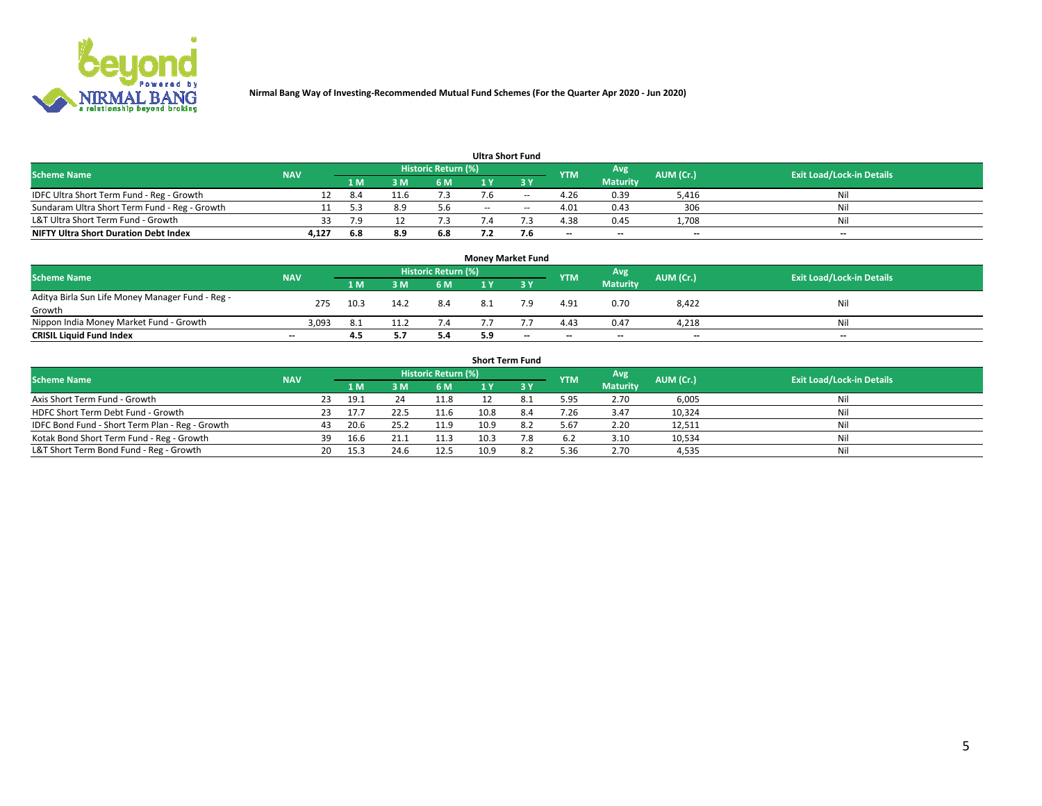

|                                               |            |     |      |                            |        | <b>Ultra Short Fund</b> |            |                          |                          |                                  |
|-----------------------------------------------|------------|-----|------|----------------------------|--------|-------------------------|------------|--------------------------|--------------------------|----------------------------------|
| <b>Scheme Name</b>                            | <b>NAV</b> |     |      | <b>Historic Return (%)</b> |        |                         | <b>YTM</b> | Avg                      | AUM (Cr.)                | <b>Exit Load/Lock-in Details</b> |
|                                               |            | 1 M | 3 M  | 6 M                        |        | <b>3Y</b>               |            | <b>Maturity</b>          |                          |                                  |
| IDFC Ultra Short Term Fund - Reg - Growth     |            | 8.4 | 11.6 |                            | 7.6    | $\sim$                  | 4.26       | 0.39                     | 5,416                    | Nil                              |
| Sundaram Ultra Short Term Fund - Reg - Growth |            |     | 8.9  |                            | $\sim$ | $\sim$                  | 4.01       | 0.43                     | 306                      | Nil                              |
| L&T Ultra Short Term Fund - Growth            | 33         | 7.9 |      |                            | .4     |                         | 4.38       | 0.45                     | 1,708                    | Nil                              |
| <b>NIFTY Ultra Short Duration Debt Index</b>  | 4.127      | 6.8 | 8.9  | 6.8                        | 7.2    |                         | $-$        | $\overline{\phantom{a}}$ | $\overline{\phantom{a}}$ | $-$                              |

| <b>Money Market Fund</b>                         |            |      |      |                            |  |                          |                          |                 |           |                                  |  |  |
|--------------------------------------------------|------------|------|------|----------------------------|--|--------------------------|--------------------------|-----------------|-----------|----------------------------------|--|--|
| <b>Scheme Name</b>                               | <b>NAV</b> |      |      | <b>Historic Return (%)</b> |  |                          | <b>YTM</b>               | Avg             | AUM (Cr.) | <b>Exit Load/Lock-in Details</b> |  |  |
|                                                  |            | 1 M  | 3M   | 6 M                        |  | -3 Y                     |                          | <b>Maturity</b> |           |                                  |  |  |
| Aditya Birla Sun Life Money Manager Fund - Reg - | 275        | 10.3 | 14.2 | 8.4                        |  |                          | 4.91                     | 0.70            | 8,422     | Nil                              |  |  |
| Growth                                           |            |      |      |                            |  |                          |                          |                 |           |                                  |  |  |
| Nippon India Money Market Fund - Growth          | 3,093      | -8.1 |      | 7.4                        |  |                          | 4.43                     | 0.47            | 4,218     | Nil                              |  |  |
| <b>CRISIL Liquid Fund Index</b>                  | $-$        | 4.5  |      | 5.4                        |  | $\overline{\phantom{a}}$ | $\overline{\phantom{a}}$ | $-$             | $- -$     | $- -$                            |  |  |

| <b>Short Term Fund</b>                          |            |     |      |      |                     |      |      |            |                 |           |                                  |  |  |
|-------------------------------------------------|------------|-----|------|------|---------------------|------|------|------------|-----------------|-----------|----------------------------------|--|--|
| <b>Scheme Name</b>                              | <b>NAV</b> |     |      |      | Historic Return (%) |      |      | <b>YTM</b> | Avg             | AUM (Cr.) | <b>Exit Load/Lock-in Details</b> |  |  |
|                                                 |            |     | 1 M  | 3 M  | 6 M                 |      | 3 Y  |            | <b>Maturity</b> |           |                                  |  |  |
| Axis Short Term Fund - Growth                   |            | 23. | 19.1 | 24   | 11.8                |      | 8.1  | 5.95       | 2.70            | 6,005     | Nil                              |  |  |
| HDFC Short Term Debt Fund - Growth              |            | 23. | 17.7 | 22.5 | 11.6                | 10.8 | -8.4 | 7.26       | 3.47            | 10,324    | Nil                              |  |  |
| IDFC Bond Fund - Short Term Plan - Reg - Growth |            | 43  | 20.6 | 25.2 | 11.9                | 10.9 | 8.2  | 5.67       | 2.20            | 12,511    | Nil                              |  |  |
| Kotak Bond Short Term Fund - Reg - Growth       |            | 39  | 16.6 |      | 11.3                | 10.3 | 7.8  | 6.2        | 3.10            | 10,534    | Nil                              |  |  |
| L&T Short Term Bond Fund - Reg - Growth         |            | 20  | 15.3 | 24.6 | 12.5                | 10.9 | 8.2  | 5.36       | 2.70            | 4,535     | Nil                              |  |  |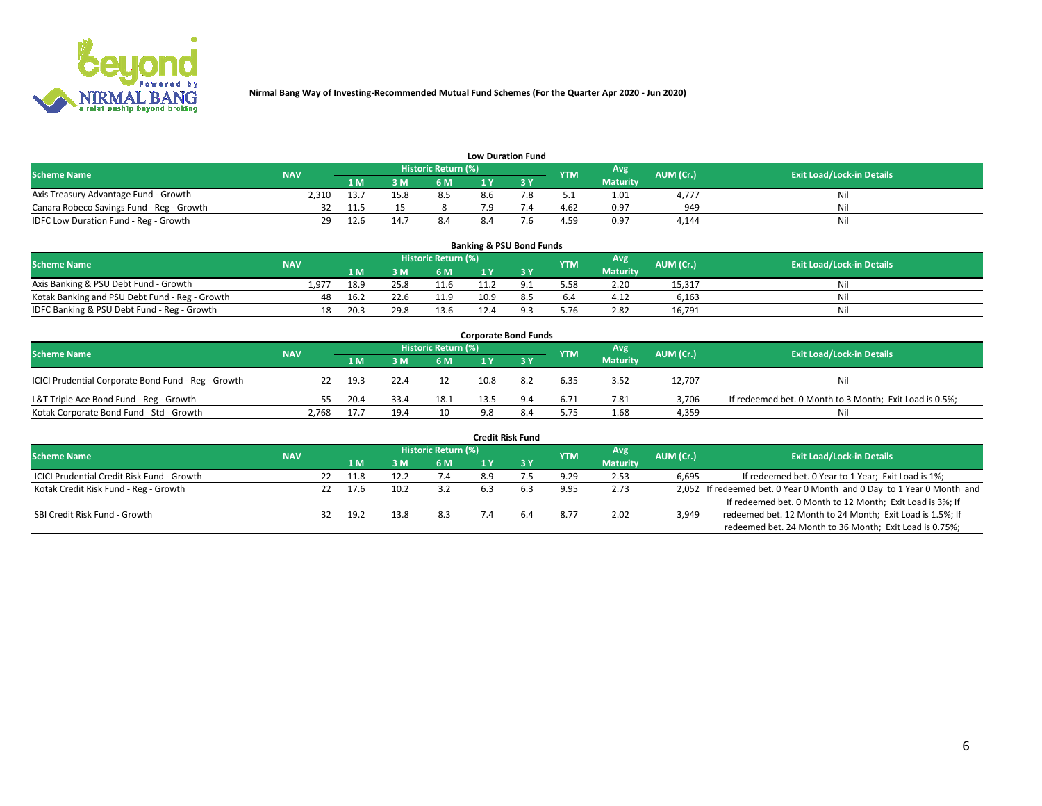

| <b>Low Duration Fund</b> |  |
|--------------------------|--|
|                          |  |

| <b>Scheme Name</b>                        | <b>NAV</b> |      |      | Historic Return (%) |     |  | <b>YTM</b> | <b>Avg</b>      | <b>AUM (Cr.)</b> | <b>Exit Load/Lock-in Details</b> |  |  |  |
|-------------------------------------------|------------|------|------|---------------------|-----|--|------------|-----------------|------------------|----------------------------------|--|--|--|
|                                           |            | 1 M  | 2M   | 6 M                 |     |  |            | <b>Maturity</b> |                  |                                  |  |  |  |
| Axis Treasury Advantage Fund - Growth     | 2.310      | 13.  | 15.8 |                     | 8.6 |  |            | 1.01            | 4.777            | Nil                              |  |  |  |
| Canara Robeco Savings Fund - Reg - Growth |            |      |      |                     |     |  | 4.62       | 0.97            | 949              | Ni                               |  |  |  |
| IDFC Low Duration Fund - Reg - Growth     | 29         | 12.f |      | 8.4                 |     |  | 4.59       | 0.97            | 4.144            | Nil                              |  |  |  |

| <b>Banking &amp; PSU Bond Funds</b>            |            |      |      |                            |      |  |            |                 |           |                                  |  |  |
|------------------------------------------------|------------|------|------|----------------------------|------|--|------------|-----------------|-----------|----------------------------------|--|--|
| <b>Scheme Name</b>                             | <b>NAV</b> |      |      | <b>Historic Return (%)</b> |      |  | <b>YTM</b> | Avg             | AUM (Cr.) | <b>Exit Load/Lock-in Details</b> |  |  |
|                                                |            | 1 M  | ЗM   | 6 M                        |      |  |            | <b>Maturity</b> |           |                                  |  |  |
| Axis Banking & PSU Debt Fund - Growth          | 1.977      | 18.9 | 25.8 | 11.6                       |      |  | 5.58       | 2.20            | 15,317    | Nil                              |  |  |
| Kotak Banking and PSU Debt Fund - Reg - Growth | 48         | 16.2 | 22.6 | 11.9                       | 10.9 |  | 6.4        | 4.12            | 6.163     | Nil                              |  |  |
| IDFC Banking & PSU Debt Fund - Reg - Growth    | 18         | 20.3 | 29.8 | 13.6                       |      |  | 5.76       | 2.82            | 16,791    | Nil                              |  |  |

| <b>Corporate Bond Funds</b>                         |            |      |      |                     |      |     |            |                 |           |                                                         |  |  |
|-----------------------------------------------------|------------|------|------|---------------------|------|-----|------------|-----------------|-----------|---------------------------------------------------------|--|--|
| <b>Scheme Name</b>                                  | <b>NAV</b> |      |      | Historic Return (%) |      |     | <b>YTM</b> | Avg             | AUM (Cr.) | <b>Exit Load/Lock-in Details</b>                        |  |  |
|                                                     |            | 1 M  | 3 M  | 6 M                 |      |     |            | <b>Maturity</b> |           |                                                         |  |  |
| ICICI Prudential Corporate Bond Fund - Reg - Growth | 22         | 19.3 | 22.4 | 12                  | 10.8 | 8.2 | 6.35       | 3.52            | 12,707    | Nil                                                     |  |  |
| L&T Triple Ace Bond Fund - Reg - Growth             |            | 20.4 | 33.4 | 18.1                | 13.5 |     | 6.71       | 7.81            | 3,706     | If redeemed bet. 0 Month to 3 Month; Exit Load is 0.5%; |  |  |
| Kotak Corporate Bond Fund - Std - Growth            | 2,768      | 17.7 | 19.4 | 10                  | 9.8  |     | 5.75       | 1.68            | 4,359     | Nil                                                     |  |  |

| <b>Credit Risk Fund</b>                    |            |    |      |      |                            |     |     |            |                 |           |                                                                       |  |
|--------------------------------------------|------------|----|------|------|----------------------------|-----|-----|------------|-----------------|-----------|-----------------------------------------------------------------------|--|
| <b>Scheme Name</b>                         | <b>NAV</b> |    |      |      | <b>Historic Return (%)</b> |     |     | <b>YTM</b> | Avg             | AUM (Cr.) | <b>Exit Load/Lock-in Details</b>                                      |  |
|                                            |            |    | 1 M  | 3 M  | 6 M                        |     | 3 Y |            | <b>Maturity</b> |           |                                                                       |  |
| ICICI Prudential Credit Risk Fund - Growth |            | 22 | 11.8 | 12.2 | 7.4                        | 8.9 |     | 9.29       | 2.53            | 6,695     | If redeemed bet. 0 Year to 1 Year; Exit Load is 1%;                   |  |
| Kotak Credit Risk Fund - Reg - Growth      |            | 22 | 17.6 | 10.2 | 3.2                        |     |     | 9.95       | 2.73            |           | 2,052 If redeemed bet. 0 Year 0 Month and 0 Day to 1 Year 0 Month and |  |
|                                            |            |    |      |      |                            |     |     |            |                 |           | If redeemed bet. 0 Month to 12 Month; Exit Load is 3%; If             |  |
| SBI Credit Risk Fund - Growth              |            | 32 | 19.2 | 13.8 | 8.3                        | 7.4 |     | 8.77       | 2.02            | 3,949     | redeemed bet. 12 Month to 24 Month; Exit Load is 1.5%; If             |  |
|                                            |            |    |      |      |                            |     |     |            |                 |           | redeemed bet. 24 Month to 36 Month; Exit Load is 0.75%;               |  |